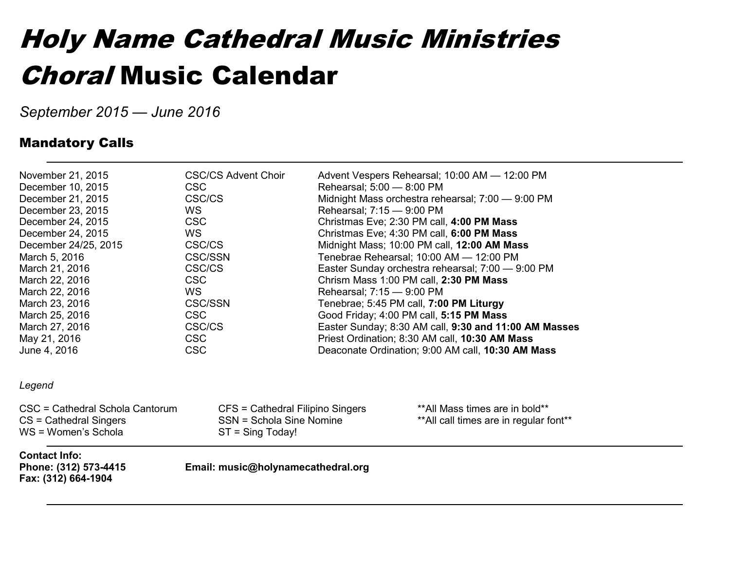#### Holy Name Cathedral Music Ministries Choral Music Calendar

*September 2015 — June 2016*

#### Mandatory Calls

| November 21, 2015<br>December 10, 2015<br>December 21, 2015<br>December 23, 2015<br>December 24, 2015<br>December 24, 2015<br>December 24/25, 2015<br>March 5, 2016<br>March 21, 2016<br>March 22, 2016<br>March 22, 2016<br>March 23, 2016<br>March 25, 2016<br>March 27, 2016<br>May 21, 2016<br>June 4, 2016 | <b>CSC/CS Advent Choir</b><br><b>CSC</b><br>CSC/CS<br>WS.<br><b>CSC</b><br>WS.<br>CSC/CS<br><b>CSC/SSN</b><br>CSC/CS<br><b>CSC</b><br>WS.<br><b>CSC/SSN</b><br><b>CSC</b><br>CSC/CS<br><b>CSC</b><br><b>CSC</b> | Rehearsal; 5:00 - 8:00 PM<br>Rehearsal; 7:15 - 9:00 PM<br>Chrism Mass 1:00 PM call, 2:30 PM Mass<br>Rehearsal; 7:15 - 9:00 PM<br>Tenebrae; 5:45 PM call, 7:00 PM Liturgy<br>Good Friday; 4:00 PM call, 5:15 PM Mass | Advent Vespers Rehearsal; 10:00 AM - 12:00 PM<br>Midnight Mass orchestra rehearsal; 7:00 - 9:00 PM<br>Christmas Eve; 2:30 PM call, 4:00 PM Mass<br>Christmas Eve; 4:30 PM call, 6:00 PM Mass<br>Midnight Mass; 10:00 PM call, 12:00 AM Mass<br>Tenebrae Rehearsal; 10:00 AM - 12:00 PM<br>Easter Sunday orchestra rehearsal; 7:00 - 9:00 PM<br>Easter Sunday; 8:30 AM call, 9:30 and 11:00 AM Masses<br>Priest Ordination; 8:30 AM call, 10:30 AM Mass<br>Deaconate Ordination; 9:00 AM call, 10:30 AM Mass |
|-----------------------------------------------------------------------------------------------------------------------------------------------------------------------------------------------------------------------------------------------------------------------------------------------------------------|-----------------------------------------------------------------------------------------------------------------------------------------------------------------------------------------------------------------|---------------------------------------------------------------------------------------------------------------------------------------------------------------------------------------------------------------------|-------------------------------------------------------------------------------------------------------------------------------------------------------------------------------------------------------------------------------------------------------------------------------------------------------------------------------------------------------------------------------------------------------------------------------------------------------------------------------------------------------------|
| Legend                                                                                                                                                                                                                                                                                                          |                                                                                                                                                                                                                 |                                                                                                                                                                                                                     |                                                                                                                                                                                                                                                                                                                                                                                                                                                                                                             |
| CSC = Cathedral Schola Cantorum<br>$CS =$ Cathedral Singers<br>WS = Women's Schola                                                                                                                                                                                                                              | CFS = Cathedral Filipino Singers<br>SSN = Schola Sine Nomine<br>$ST =$ Sing Today!                                                                                                                              |                                                                                                                                                                                                                     | **All Mass times are in bold**<br>** All call times are in regular font**                                                                                                                                                                                                                                                                                                                                                                                                                                   |
| <b>Contact Info:</b><br>Phone: (312) 573-4415<br>Fax: (312) 664-1904                                                                                                                                                                                                                                            | Email: music@holynamecathedral.org                                                                                                                                                                              |                                                                                                                                                                                                                     |                                                                                                                                                                                                                                                                                                                                                                                                                                                                                                             |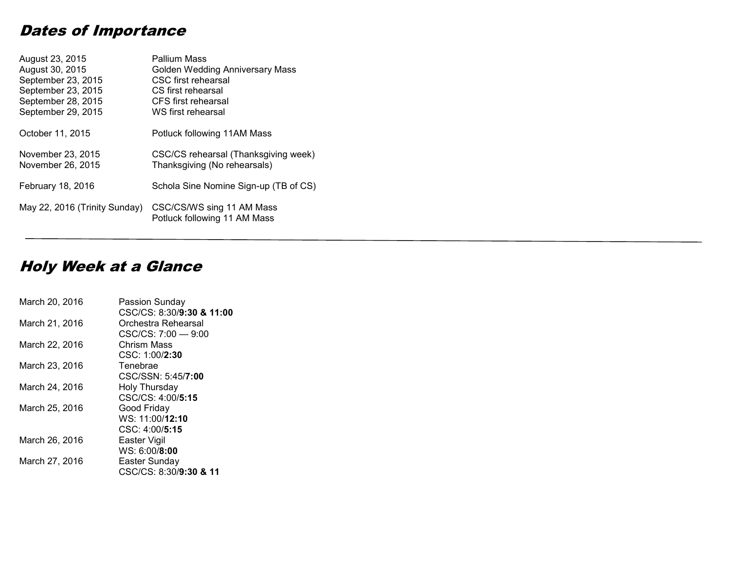#### Dates of Importance

| August 23, 2015               | Pallium Mass                                              |
|-------------------------------|-----------------------------------------------------------|
| August 30, 2015               | Golden Wedding Anniversary Mass                           |
| September 23, 2015            | CSC first rehearsal                                       |
| September 23, 2015            | CS first rehearsal                                        |
| September 28, 2015            | CFS first rehearsal                                       |
| September 29, 2015            | WS first rehearsal                                        |
| October 11, 2015              | Potluck following 11AM Mass                               |
| November 23, 2015             | CSC/CS rehearsal (Thanksgiving week)                      |
| November 26, 2015             | Thanksgiving (No rehearsals)                              |
| February 18, 2016             | Schola Sine Nomine Sign-up (TB of CS)                     |
| May 22, 2016 (Trinity Sunday) | CSC/CS/WS sing 11 AM Mass<br>Potluck following 11 AM Mass |

#### Holy Week at a Glance

| March 20, 2016 | Passion Sunday<br>CSC/CS: 8:30/9:30 & 11:00 |
|----------------|---------------------------------------------|
| March 21, 2016 | Orchestra Rehearsal                         |
|                | $CSC/CS: 7:00 - 9:00$                       |
| March 22, 2016 | Chrism Mass                                 |
|                | CSC: 1:00/2:30                              |
| March 23, 2016 | Tenebrae                                    |
|                | CSC/SSN: 5:45/7:00                          |
| March 24, 2016 | Holy Thursday                               |
|                | CSC/CS: 4:00/5:15                           |
| March 25, 2016 | Good Friday                                 |
|                | WS: 11:00/12:10                             |
|                | CSC: 4:00/5:15                              |
| March 26, 2016 | Easter Vigil                                |
|                | WS: 6:00/8:00                               |
| March 27, 2016 | Easter Sunday                               |
|                | CSC/CS: 8:30/9:30 & 11                      |
|                |                                             |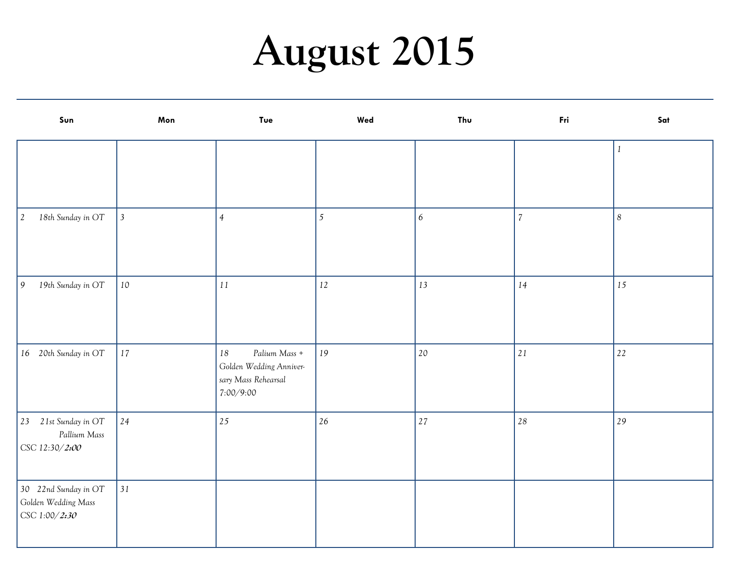## **August 2015**

| Sun                                                          | Mon            | <b>Tue</b>                                                                             | Wed            | Thu | Fri        | Sat              |
|--------------------------------------------------------------|----------------|----------------------------------------------------------------------------------------|----------------|-----|------------|------------------|
|                                                              |                |                                                                                        |                |     |            | $\mathbf{1}$     |
| 18th Sunday in OT<br>$\vert$ 2                               | $\overline{3}$ | $\overline{4}$                                                                         | $\mathfrak{S}$ | 6   | $\sqrt{7}$ | $\boldsymbol{8}$ |
| 19th Sunday in OT<br>$\vert$ 9                               | 10             | $1\sqrt{1}$                                                                            | 12             | 13  | 14         | 15               |
| 16 20th Sunday in OT                                         | 17             | Palium Mass +<br>$18\,$<br>Golden Wedding Anniver-<br>sary Mass Rehearsal<br>7:00/9:00 | 19             | 20  | 21         | $22\,$           |
| 23 21st Sunday in OT<br>Pallium Mass<br>CSC 12:30/2:00       | 24             | 25                                                                                     | 26             | 27  | $28\,$     | 29               |
| 30 22nd Sunday in OT<br>Golden Wedding Mass<br>CSC 1:00/2:30 | 31             |                                                                                        |                |     |            |                  |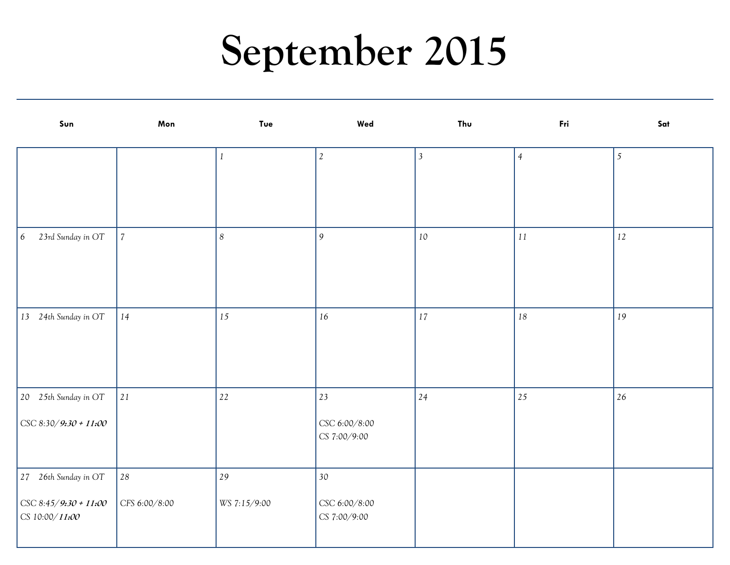### **September 2015**

| Sun                                     | Mon            | Tue              | Wed                           | Thu            | Fri            | Sat            |
|-----------------------------------------|----------------|------------------|-------------------------------|----------------|----------------|----------------|
|                                         |                | 1                | $\overline{2}$                | $\overline{3}$ | $\overline{4}$ | $\mathfrak{S}$ |
|                                         |                |                  |                               |                |                |                |
|                                         |                |                  |                               |                |                |                |
| 23rd Sunday in OT<br>6                  | $\overline{7}$ | $\boldsymbol{8}$ | 9                             | 10             | $11\,$         | 12             |
|                                         |                |                  |                               |                |                |                |
|                                         |                |                  |                               |                |                |                |
| 13 24th Sunday in OT                    | $14\,$         | 15               | $16\,$                        | 17             | $18\,$         | 19             |
|                                         |                |                  |                               |                |                |                |
|                                         |                |                  |                               |                |                |                |
| 20 25th Sunday in OT                    | 21             | $22\,$           | 23                            | 24             | 25             | 26             |
| CSC 8:30/9:30 + 11:00                   |                |                  | CSC 6:00/8:00<br>CS 7:00/9:00 |                |                |                |
| 27 26th Sunday in OT                    | $\sqrt{28}$    | 29               | $30\,$                        |                |                |                |
| CSC 8:45/9:30 + 11:00<br>CS 10:00/11:00 | CFS 6:00/8:00  | WS 7:15/9:00     | CSC 6:00/8:00<br>CS 7:00/9:00 |                |                |                |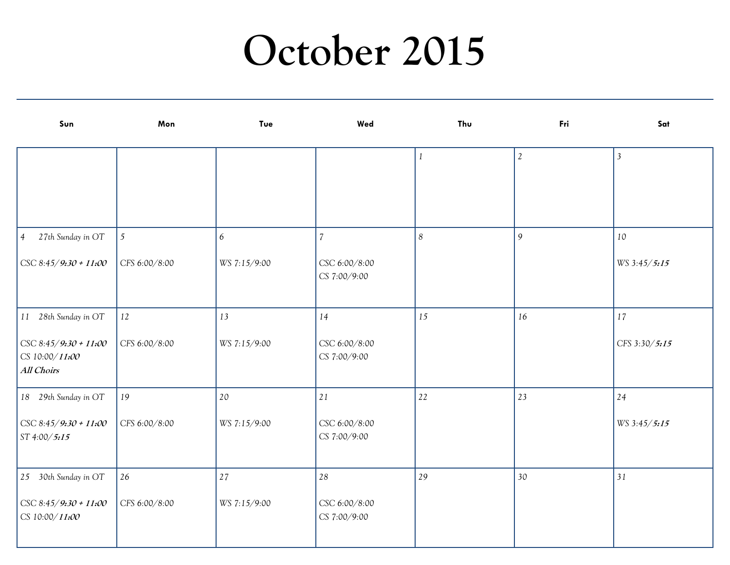#### **October 2015**

| Sun                                                           | Mon           | Tue          | Wed                           | Thu              | Fri        | Sat            |
|---------------------------------------------------------------|---------------|--------------|-------------------------------|------------------|------------|----------------|
|                                                               |               |              |                               |                  | $\sqrt{2}$ | $\mathfrak{Z}$ |
|                                                               |               |              |                               |                  |            |                |
|                                                               |               |              |                               |                  |            |                |
| 27th Sunday in OT<br>$\vert 4 \vert$                          | $\sqrt{5}$    | 6            | $\overline{7}$                | $\boldsymbol{8}$ | 9          | 10             |
| $\text{CSC } 8:45/9:30 + 11:00$                               | CFS 6:00/8:00 | WS 7:15/9:00 | CSC 6:00/8:00<br>CS 7:00/9:00 |                  |            | WS 3:45/5:15   |
| 11 28th Sunday in OT                                          | 12            | 13           | 14                            | 15               | 16         | 17             |
| $\big $ CSC 8:45/9:30 + 11:00<br>CS 10:00/11:00<br>All Choirs | CFS 6:00/8:00 | WS 7:15/9:00 | CSC 6:00/8:00<br>CS 7:00/9:00 |                  |            | CFS 3:30/5:15  |
| 18 29th Sunday in OT                                          | 19            | 20           | $2\sqrt{1}$                   | $22\,$           | 23         | 24             |
| $\big $ CSC 8:45/9:30 + 11:00<br>ST 4:00/5:15                 | CFS 6:00/8:00 | WS 7:15/9:00 | CSC 6:00/8:00<br>CS 7:00/9:00 |                  |            | WS 3:45/5:15   |
| 25 30th Sunday in OT                                          | 26            | $2\,7$       | 28                            | 29               | 30         | 31             |
| $\big $ CSC 8:45/9:30 + 11:00<br>CS 10:00/11:00               | CFS 6:00/8:00 | WS 7:15/9:00 | CSC 6:00/8:00<br>CS 7:00/9:00 |                  |            |                |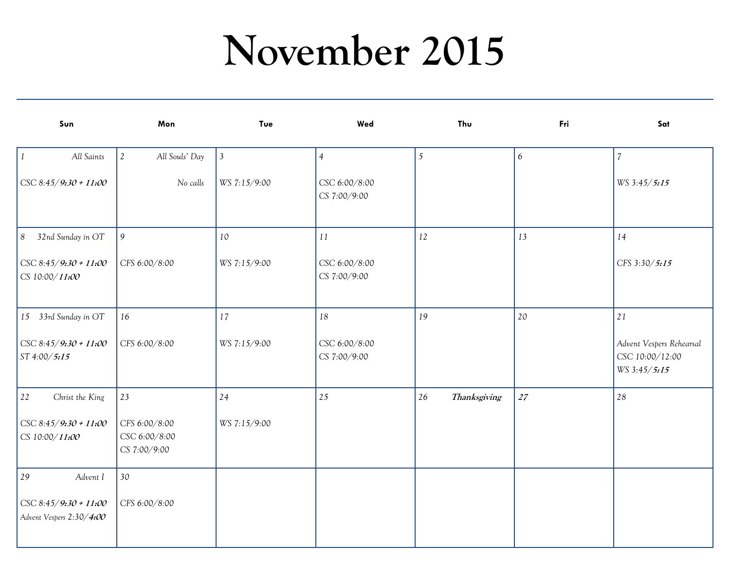### **November 2015**

| Sun                                                       | Mon                                            | Tue            | Wed                           | Thu                | Fri              | Sat                                                         |
|-----------------------------------------------------------|------------------------------------------------|----------------|-------------------------------|--------------------|------------------|-------------------------------------------------------------|
| $\vert$ 1<br>All Saints                                   | $\mathfrak{2}$<br>All Souls' Day               | $\mathfrak{Z}$ | $\overline{4}$                | $\mathfrak{S}$     | $\boldsymbol{6}$ | $\overline{7}$                                              |
| $\text{CSC } 8:45/9:30 + 11:00$                           | No calls                                       | WS 7:15/9:00   | CSC 6:00/8:00<br>CS 7:00/9:00 |                    |                  | WS 3:45/5:15                                                |
| 8 <br>32nd Sunday in OT                                   | 9                                              | 10             | 11                            | 12                 | 13               | 14                                                          |
| $\cos 8.45 / 9.30 + 11.00$<br>CS 10:00/11:00              | CFS 6:00/8:00                                  | WS 7:15/9:00   | CSC 6:00/8:00<br>CS 7:00/9:00 |                    |                  | CFS 3:30/5:15                                               |
| 15 33rd Sunday in OT                                      | 16                                             | 17             | 18                            | 19                 | 20               | 21                                                          |
| $\big $ CSC 8:45/9:30 + 11:00<br>ST 4:00/5:15             | CFS 6:00/8:00                                  | WS 7:15/9:00   | CSC 6:00/8:00<br>CS 7:00/9:00 |                    |                  | Advent Vespers Rehearsal<br>CSC 10:00/12:00<br>WS 3:45/5:15 |
| 22<br>Christ the King                                     | 23                                             | 24             | 25                            | 26<br>Thanksgiving | 27               | 28                                                          |
| $\big $ CSC 8:45/9:30 + 11:00<br>CS 10:00/11:00           | CFS 6:00/8:00<br>CSC 6:00/8:00<br>CS 7:00/9:00 | WS 7:15/9:00   |                               |                    |                  |                                                             |
| 29<br>Advent I                                            | 30                                             |                |                               |                    |                  |                                                             |
| $\big $ CSC 8:45/9:30 + 11:00<br>Advent Vespers 2:30/4:00 | CFS 6:00/8:00                                  |                |                               |                    |                  |                                                             |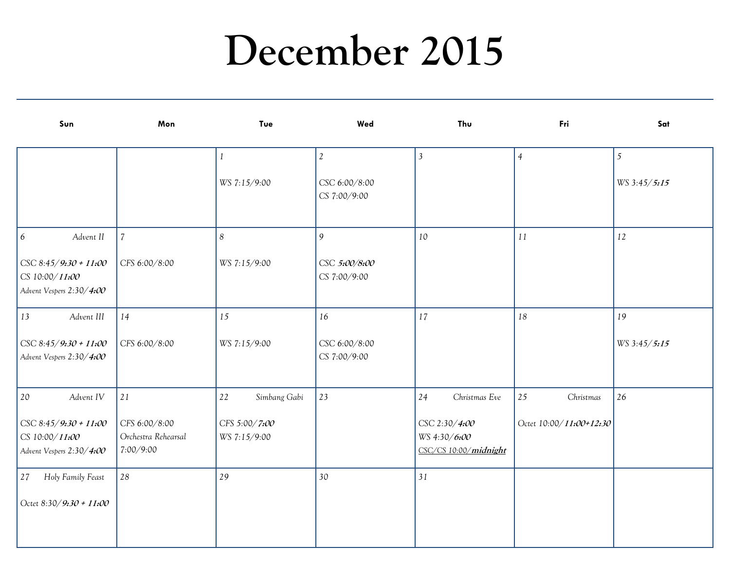#### **December 2015**

| Sun                                                                         | Mon                                               | Tue                           | Wed                           | Thu                                                    | Fri                     | Sat          |
|-----------------------------------------------------------------------------|---------------------------------------------------|-------------------------------|-------------------------------|--------------------------------------------------------|-------------------------|--------------|
|                                                                             |                                                   | $\mathbf{1}$                  | $\mathfrak{2}$                | $\mathfrak{Z}$                                         | $\overline{4}$          | 5            |
|                                                                             |                                                   | WS 7:15/9:00                  | CSC 6:00/8:00<br>CS 7:00/9:00 |                                                        |                         | WS 3:45/5:15 |
| 6 <sup>6</sup><br>Advent II                                                 | $\overline{7}$                                    | $\boldsymbol{8}$              | 9                             | 10                                                     | 11                      | 12           |
| $\big $ CSC 8:45/9:30 + 11:00<br>CS 10:00/11:00<br>Advent Vespers 2:30/4:00 | CFS 6:00/8:00                                     | WS 7:15/9:00                  | CSC 5:00/8:00<br>CS 7:00/9:00 |                                                        |                         |              |
| 13<br>Advent III                                                            | 14                                                | 15                            | 16                            | 17                                                     | 18                      | 19           |
| $\big $ CSC 8:45/9:30 + 11:00<br>Advent Vespers 2:30/4:00                   | CFS 6:00/8:00                                     | WS 7:15/9:00                  | CSC 6:00/8:00<br>CS 7:00/9:00 |                                                        |                         | WS 3:45/5:15 |
| 20<br>Advent IV                                                             | 21                                                | 22<br>Simbang Gabi            | 23                            | 24<br>Christmas Eve                                    | 25<br>Christmas         | 26           |
| $\big $ CSC 8:45/9:30 + 11:00<br>CS 10:00/11:00<br>Advent Vespers 2:30/4:00 | CFS 6:00/8:00<br>Orchestra Rehearsal<br>7:00/9:00 | CFS 5:00/7:00<br>WS 7:15/9:00 |                               | CSC 2:30/4:00<br>WS 4:30/6:00<br>CSC/CS 10:00/midnight | Octet 10:00/11:00+12:30 |              |
| 27<br>Holy Family Feast                                                     | 28                                                | 29                            | 30                            | 31                                                     |                         |              |
| Octet 8:30/9:30 + 11:00                                                     |                                                   |                               |                               |                                                        |                         |              |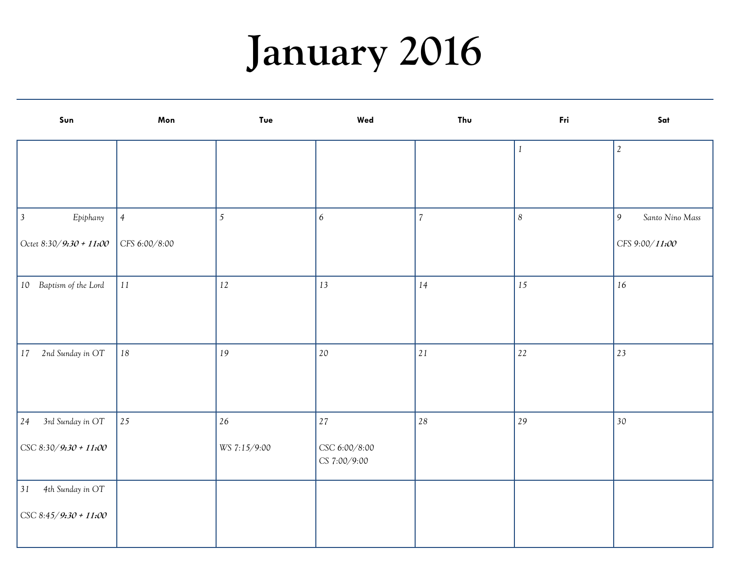# **January 2016**

| Sun                           | Mon            | Tue          | Wed                           | Thu            | Fri              | Sat                  |
|-------------------------------|----------------|--------------|-------------------------------|----------------|------------------|----------------------|
|                               |                |              |                               |                | $\mathbf{1}$     | $\sqrt{2}$           |
|                               |                |              |                               |                |                  |                      |
|                               |                |              |                               |                |                  |                      |
| $\vert$ 3<br>Epiphany         | $\overline{4}$ | 5            | 6                             | $\overline{7}$ | $\boldsymbol{8}$ | 9<br>Santo Nino Mass |
| Octet 8:30/9:30 + 11:00       | CFS 6:00/8:00  |              |                               |                |                  | CFS 9:00/11:00       |
| 10 Baptism of the Lord        | $11\,$         | 12           | 13                            | 14             | 15               | 16                   |
|                               |                |              |                               |                |                  |                      |
| 2nd Sunday in OT<br>17        | $18\,$         | 19           | 20                            | $2\sqrt{1}$    | 22               | 23                   |
| 3rd Sunday in OT<br>24        | 25             | $26\,$       | $27\,$                        | 28             | 29               | 30                   |
| $\big $ CSC 8:30/9:30 + 11:00 |                | WS 7:15/9:00 | CSC 6:00/8:00<br>CS 7:00/9:00 |                |                  |                      |
| 31<br>4th Sunday in OT        |                |              |                               |                |                  |                      |
| $\big $ CSC 8:45/9:30 + 11:00 |                |              |                               |                |                  |                      |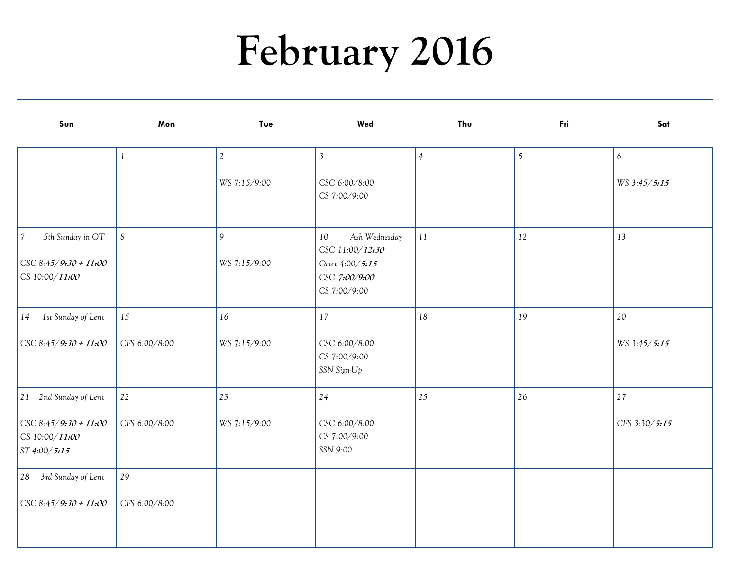# **February 2016**

| Sun                                                                                             | Mon              | Tue               | Wed                                                                                        | Thu            | Fri            | Sat              |
|-------------------------------------------------------------------------------------------------|------------------|-------------------|--------------------------------------------------------------------------------------------|----------------|----------------|------------------|
|                                                                                                 | $\mathbf{1}$     | $\mathbf{2}$      | $\overline{3}$                                                                             | $\overline{4}$ | $\mathfrak{S}$ | $\boldsymbol{6}$ |
|                                                                                                 |                  | WS 7:15/9:00      | CSC 6:00/8:00<br>CS 7:00/9:00                                                              |                |                | WS 3:45/5:15     |
| 5th Sunday in OT<br>$\overline{\mathcal{U}}$<br>$\big $ CSC 8:45/9:30 + 11:00<br>CS 10:00/11:00 | $\boldsymbol{8}$ | 9<br>WS 7:15/9:00 | Ash Wednesday<br>10<br>CSC 11:00/12:30<br>Octet 4:00/5:15<br>CSC 7:00/9:00<br>CS 7:00/9:00 | $11\,$         | 12             | 13               |
| 1st Sunday of Lent<br>14                                                                        | 15               | 16                | 17                                                                                         | $18\,$         | 19             | 20               |
| $CSC 8:45/9:30 + 11:00$                                                                         | CFS 6:00/8:00    | WS 7:15/9:00      | CSC 6:00/8:00<br>CS 7:00/9:00<br>SSN Sign-Up                                               |                |                | WS 3:45/5:15     |
| 21 2nd Sunday of Lent                                                                           | 22               | 23                | 24                                                                                         | 25             | 26             | 27               |
| $\big $ CSC 8:45/9:30 + 11:00<br>CS 10:00/11:00<br>ST 4:00/5:15                                 | CFS 6:00/8:00    | WS 7:15/9:00      | CSC 6:00/8:00<br>CS 7:00/9:00<br>SSN 9:00                                                  |                |                | CFS 3:30/5:15    |
| 28 3rd Sunday of Lent                                                                           | 29               |                   |                                                                                            |                |                |                  |
| $\big $ CSC 8:45/9:30 + 11:00                                                                   | CFS 6:00/8:00    |                   |                                                                                            |                |                |                  |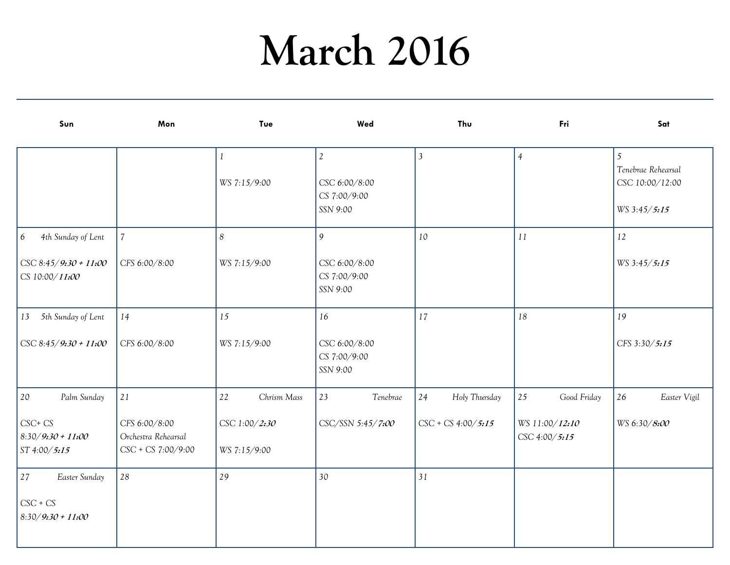# **March 2016**

| Sun                                                                                      | Mon                                                              | Tue                                                | Wed                                                         | Thu                                         | Fri                                                  | Sat                                                        |
|------------------------------------------------------------------------------------------|------------------------------------------------------------------|----------------------------------------------------|-------------------------------------------------------------|---------------------------------------------|------------------------------------------------------|------------------------------------------------------------|
|                                                                                          |                                                                  | WS 7:15/9:00                                       | $\mathfrak{2}$<br>CSC 6:00/8:00<br>CS 7:00/9:00<br>SSN 9:00 | $\mathfrak{Z}$                              | $\overline{4}$                                       | 5<br>Tenebrae Rehearsal<br>CSC 10:00/12:00<br>WS 3:45/5:15 |
| $6\overline{6}$<br>4th Sunday of Lent<br>$\big $ CSC 8:45/9:30 + 11:00<br>CS 10:00/11:00 | $\overline{7}$<br>CFS 6:00/8:00                                  | 8<br>WS 7:15/9:00                                  | 9<br>CSC 6:00/8:00<br>CS 7:00/9:00<br>SSN 9:00              | 10                                          | 11                                                   | 12<br>WS 3:45/5:15                                         |
| 13 5th Sunday of Lent<br>$\text{CSC } 8:45/9:30 + 11:00$                                 | 14<br>CFS 6:00/8:00                                              | 15<br>WS 7:15/9:00                                 | 16<br>CSC 6:00/8:00<br>CS 7:00/9:00<br>SSN 9:00             | 17                                          | 18                                                   | 19<br>CFS 3:30/5:15                                        |
| 20<br>Palm Sunday<br>$CSC + CS$<br>$8.30/9.30 + 11.00$<br>ST 4:00/5:15                   | 21<br>CFS 6:00/8:00<br>Orchestra Rehearsal<br>CSC + CS 7:00/9:00 | 22<br>Chrism Mass<br>CSC 1:00/2:30<br>WS 7:15/9:00 | 23<br>Tenebrae<br>CSC/SSN 5:45/7:00                         | 24<br>Holy Thursday<br>$CSC + CS$ 4:00/5:15 | 25<br>Good Friday<br>WS 11:00/12:10<br>CSC 4:00/5:15 | 26<br>Easter Vigil<br>WS 6:30/8:00                         |
| 27<br>Easter Sunday<br>$\csc$ + $\csc$<br>$8.30/9.30 + 11.00$                            | 28                                                               | 29                                                 | 30                                                          | 31                                          |                                                      |                                                            |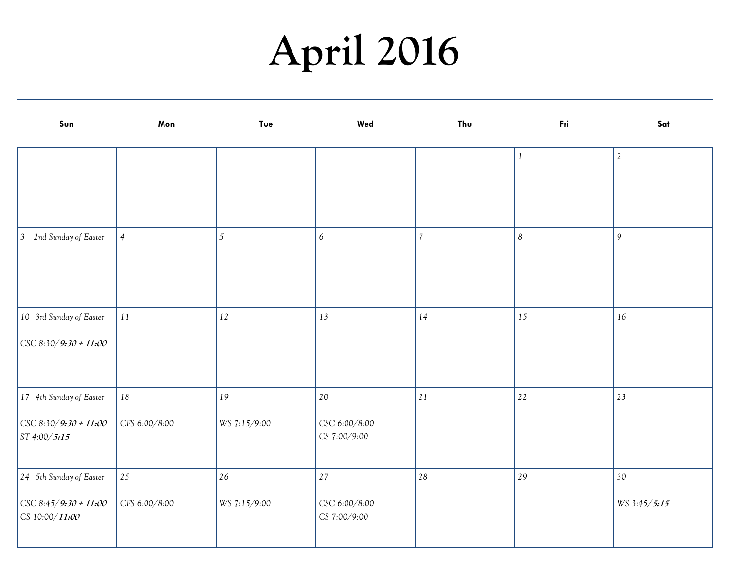# **April 2016**

| Sun                                   | Mon            | <b>Tue</b>   | Wed                           | Thu            | Fri              | Sat            |
|---------------------------------------|----------------|--------------|-------------------------------|----------------|------------------|----------------|
|                                       |                |              |                               |                | $\it 1$          | $\mathfrak{2}$ |
|                                       |                |              |                               |                |                  |                |
|                                       |                |              |                               |                |                  |                |
| 3 2nd Sunday of Easter                | $\overline{4}$ | 5            | 6                             | $\overline{7}$ | $\boldsymbol{8}$ | 9              |
|                                       |                |              |                               |                |                  |                |
|                                       |                |              |                               |                |                  |                |
| 10 3rd Sunday of Easter               | $11\,$         | 12           | 13                            | 14             | 15               | 16             |
| $\text{CSC } 8:30/9:30 + 11:00$       |                |              |                               |                |                  |                |
|                                       |                |              |                               |                |                  |                |
| 17 4th Sunday of Easter               | $18\,$         | 19           | $20\,$                        | $2\sqrt{1}$    | $22\,$           | 23             |
| CSC 8:30/9:30 + 11:00<br>ST 4:00/5:15 | CFS 6:00/8:00  | WS 7:15/9:00 | CSC 6:00/8:00<br>CS 7:00/9:00 |                |                  |                |
|                                       |                |              |                               |                |                  |                |
| 24 5th Sunday of Easter               | 25             | 26           | $27\,$                        | 28             | 29               | 30             |
| CSC 8:45/9:30 + 11:00                 | CFS 6:00/8:00  | WS 7:15/9:00 | CSC 6:00/8:00                 |                |                  | WS 3:45/5:15   |
| CS 10:00/11:00                        |                |              | CS 7:00/9:00                  |                |                  |                |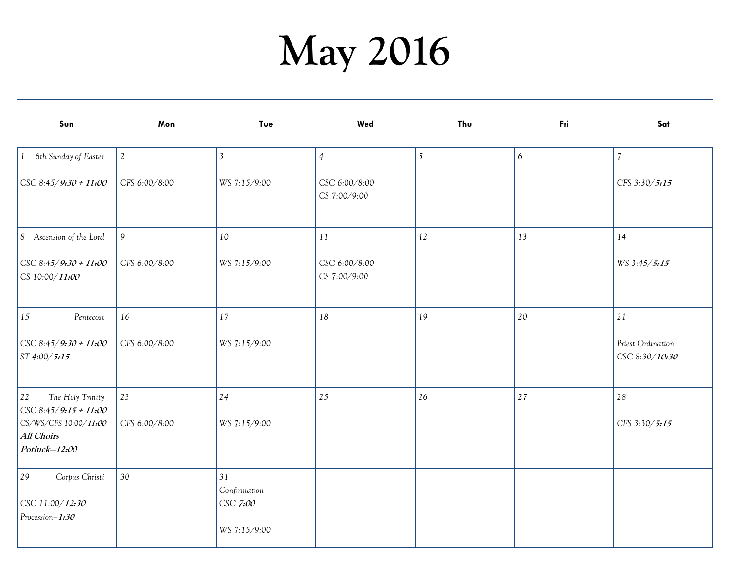# **May 2016**

| Sun                                                                           | Mon            | Tue                                            | Wed                           | Thu | Fri | Sat                                 |
|-------------------------------------------------------------------------------|----------------|------------------------------------------------|-------------------------------|-----|-----|-------------------------------------|
| 1 6th Sunday of Easter                                                        | $\mathfrak{2}$ | $\overline{3}$                                 | $\overline{4}$                | 5   | 6   | $\overline{7}$                      |
| CSC 8:45/9:30 + 11:00                                                         | CFS 6:00/8:00  | WS 7:15/9:00                                   | CSC 6:00/8:00<br>CS 7:00/9:00 |     |     | CFS 3:30/5:15                       |
| 8 Ascension of the Lord                                                       | 9              | 10                                             | 11                            | 12  | 13  | 14                                  |
| $\text{CSC } 8:45/9:30 + 11:00$<br>CS 10:00/11:00                             | CFS 6:00/8:00  | WS 7:15/9:00                                   | CSC 6:00/8:00<br>CS 7:00/9:00 |     |     | WS 3:45/5:15                        |
| 15<br>Pentecost                                                               | 16             | 17                                             | 18                            | 19  | 20  | 21                                  |
| $\text{CSC } 8:45/9:30 + 11:00$<br>ST 4:00/5:15                               | CFS 6:00/8:00  | WS 7:15/9:00                                   |                               |     |     | Priest Ordination<br>CSC 8:30/10:30 |
| 22<br>The Holy Trinity                                                        | 23             | 24                                             | 25                            | 26  | 27  | 28                                  |
| CSC 8:45/9:15 + 11:00<br>CS/WS/CFS 10:00/11:00<br>All Choirs<br>Potluck-12:00 | CFS 6:00/8:00  | WS 7:15/9:00                                   |                               |     |     | CFS 3:30/5:15                       |
| 29<br>Corpus Christi<br>CSC 11:00/12:30<br>Procession-1:30                    | 30             | 31<br>Confirmation<br>CSC 7:00<br>WS 7:15/9:00 |                               |     |     |                                     |
|                                                                               |                |                                                |                               |     |     |                                     |